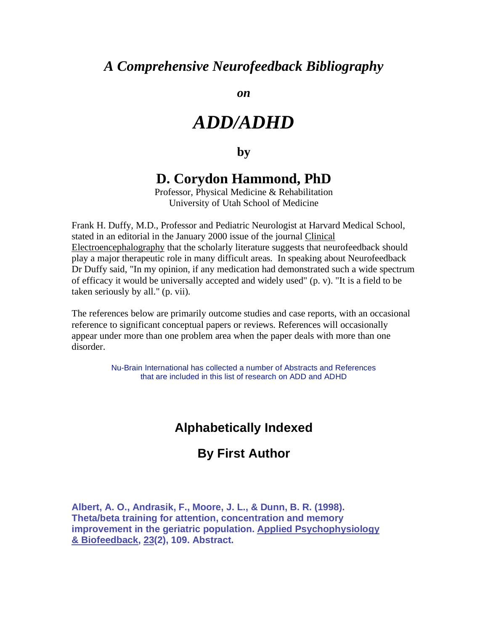# *A Comprehensive Neurofeedback Bibliography*

*on* 

# *ADD/ADHD*

### **by**

# **D. Corydon Hammond, PhD**

Professor, Physical Medicine & Rehabilitation University of Utah School of Medicine

Frank H. Duffy, M.D., Professor and Pediatric Neurologist at Harvard Medical School, stated in an editorial in the January 2000 issue of the journal Clinical Electroencephalography that the scholarly literature suggests that neurofeedback should play a major therapeutic role in many difficult areas. In speaking about Neurofeedback Dr Duffy said, "In my opinion, if any medication had demonstrated such a wide spectrum of efficacy it would be universally accepted and widely used" (p. v). "It is a field to be taken seriously by all." (p. vii).

The references below are primarily outcome studies and case reports, with an occasional reference to significant conceptual papers or reviews. References will occasionally appear under more than one problem area when the paper deals with more than one disorder.

> Nu-Brain International has collected a number of Abstracts and References that are included in this list of research on ADD and ADHD

# **Alphabetically Indexed**

## **By First Author**

**Albert, A. O., Andrasik, F., Moore, J. L., & Dunn, B. R. (1998). Theta/beta training for attention, concentration and memory improvement in the geriatric population. Applied Psychophysiology & Biofeedback, 23(2), 109. Abstract.**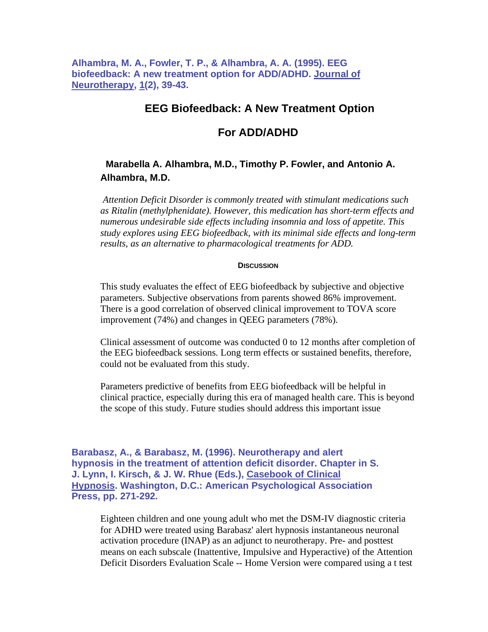**Alhambra, M. A., Fowler, T. P., & Alhambra, A. A. (1995). EEG biofeedback: A new treatment option for ADD/ADHD. Journal of Neurotherapy, 1(2), 39-43.** 

### **EEG Biofeedback: A New Treatment Option**

### **For ADD/ADHD**

### **Marabella A. Alhambra, M.D., Timothy P. Fowler, and Antonio A. Alhambra, M.D.**

 *Attention Deficit Disorder is commonly treated with stimulant medications such as Ritalin (methylphenidate). However, this medication has short-term effects and numerous undesirable side effects including insomnia and loss of appetite. This study explores using EEG biofeedback, with its minimal side effects and long-term results, as an alternative to pharmacological treatments for ADD.* 

#### **DISCUSSION**

This study evaluates the effect of EEG biofeedback by subjective and objective parameters. Subjective observations from parents showed 86% improvement. There is a good correlation of observed clinical improvement to TOVA score improvement (74%) and changes in QEEG parameters (78%).

Clinical assessment of outcome was conducted 0 to 12 months after completion of the EEG biofeedback sessions. Long term effects or sustained benefits, therefore, could not be evaluated from this study.

Parameters predictive of benefits from EEG biofeedback will be helpful in clinical practice, especially during this era of managed health care. This is beyond the scope of this study. Future studies should address this important issue

**Barabasz, A., & Barabasz, M. (1996). Neurotherapy and alert hypnosis in the treatment of attention deficit disorder. Chapter in S. J. Lynn, I. Kirsch, & J. W. Rhue (Eds.), Casebook of Clinical Hypnosis. Washington, D.C.: American Psychological Association Press, pp. 271-292.** 

Eighteen children and one young adult who met the DSM-IV diagnostic criteria for ADHD were treated using Barabasz' alert hypnosis instantaneous neuronal activation procedure (INAP) as an adjunct to neurotherapy. Pre- and posttest means on each subscale (Inattentive, Impulsive and Hyperactive) of the Attention Deficit Disorders Evaluation Scale -- Home Version were compared using a t test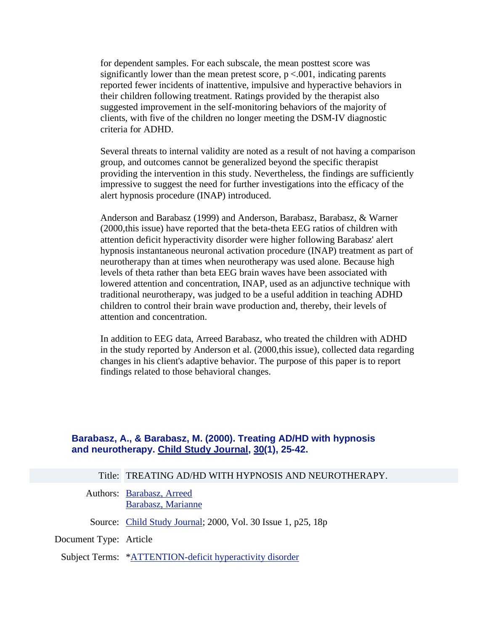for dependent samples. For each subscale, the mean posttest score was significantly lower than the mean pretest score,  $p < .001$ , indicating parents reported fewer incidents of inattentive, impulsive and hyperactive behaviors in their children following treatment. Ratings provided by the therapist also suggested improvement in the self-monitoring behaviors of the majority of clients, with five of the children no longer meeting the DSM-IV diagnostic criteria for ADHD.

Several threats to internal validity are noted as a result of not having a comparison group, and outcomes cannot be generalized beyond the specific therapist providing the intervention in this study. Nevertheless, the findings are sufficiently impressive to suggest the need for further investigations into the efficacy of the alert hypnosis procedure (INAP) introduced.

Anderson and Barabasz (1999) and Anderson, Barabasz, Barabasz, & Warner (2000,this issue) have reported that the beta-theta EEG ratios of children with attention deficit hyperactivity disorder were higher following Barabasz' alert hypnosis instantaneous neuronal activation procedure (INAP) treatment as part of neurotherapy than at times when neurotherapy was used alone. Because high levels of theta rather than beta EEG brain waves have been associated with lowered attention and concentration, INAP, used as an adjunctive technique with traditional neurotherapy, was judged to be a useful addition in teaching ADHD children to control their brain wave production and, thereby, their levels of attention and concentration.

In addition to EEG data, Arreed Barabasz, who treated the children with ADHD in the study reported by Anderson et al. (2000,this issue), collected data regarding changes in his client's adaptive behavior. The purpose of this paper is to report findings related to those behavioral changes.

#### **Barabasz, A., & Barabasz, M. (2000). Treating AD/HD with hypnosis and neurotherapy. Child Study Journal, 30(1), 25-42.**

Authors: Barabasz, Arreed Barabasz, Marianne

Source: Child Study Journal; 2000, Vol. 30 Issue 1, p25, 18p

Document Type: Article

Subject Terms: \*ATTENTION-deficit hyperactivity disorder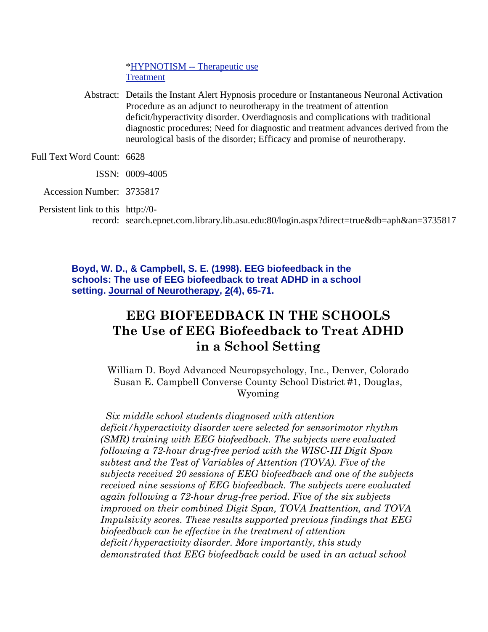\*HYPNOTISM -- Therapeutic use Treatment

Abstract: Details the Instant Alert Hypnosis procedure or Instantaneous Neuronal Activation Procedure as an adjunct to neurotherapy in the treatment of attention deficit/hyperactivity disorder. Overdiagnosis and complications with traditional diagnostic procedures; Need for diagnostic and treatment advances derived from the neurological basis of the disorder; Efficacy and promise of neurotherapy.

Full Text Word Count: 6628

- ISSN: 0009-4005
- Accession Number: 3735817

Persistent link to this http://0-

record: search.epnet.com.library.lib.asu.edu:80/login.aspx?direct=true&db=aph&an=3735817

**Boyd, W. D., & Campbell, S. E. (1998). EEG biofeedback in the schools: The use of EEG biofeedback to treat ADHD in a school setting. Journal of Neurotherapy, 2(4), 65-71.**

# **EEG BIOFEEDBACK IN THE SCHOOLS The Use of EEG Biofeedback to Treat ADHD in a School Setting**

William D. Boyd Advanced Neuropsychology, Inc., Denver, Colorado Susan E. Campbell Converse County School District #1, Douglas, Wyoming

*Six middle school students diagnosed with attention deficit/hyperactivity disorder were selected for sensorimotor rhythm (SMR) training with EEG biofeedback. The subjects were evaluated following a 72-hour drug-free period with the WISC-III Digit Span subtest and the Test of Variables of Attention (TOVA). Five of the subjects received 20 sessions of EEG biofeedback and one of the subjects received nine sessions of EEG biofeedback. The subjects were evaluated again following a 72-hour drug-free period. Five of the six subjects improved on their combined Digit Span, TOVA Inattention, and TOVA Impulsivity scores. These results supported previous findings that EEG biofeedback can be effective in the treatment of attention deficit/hyperactivity disorder. More importantly, this study demonstrated that EEG biofeedback could be used in an actual school*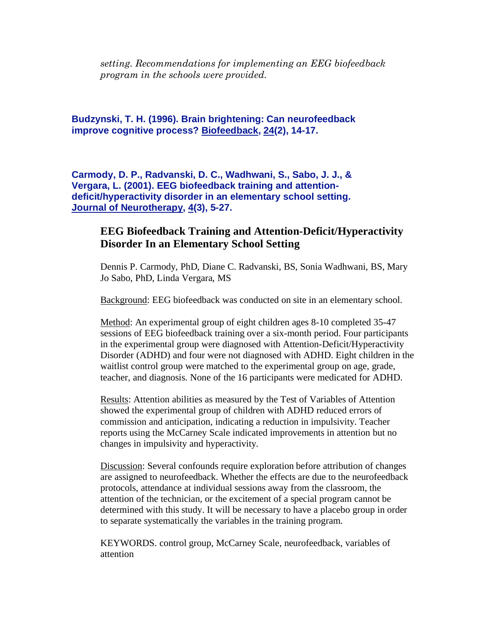*setting. Recommendations for implementing an EEG biofeedback program in the schools were provided.*

**Budzynski, T. H. (1996). Brain brightening: Can neurofeedback improve cognitive process? Biofeedback, 24(2), 14-17.** 

**Carmody, D. P., Radvanski, D. C., Wadhwani, S., Sabo, J. J., & Vergara, L. (2001). EEG biofeedback training and attentiondeficit/hyperactivity disorder in an elementary school setting. Journal of Neurotherapy, 4(3), 5-27.**

### **EEG Biofeedback Training and Attention-Deficit/Hyperactivity Disorder In an Elementary School Setting**

Dennis P. Carmody, PhD, Diane C. Radvanski, BS, Sonia Wadhwani, BS, Mary Jo Sabo, PhD, Linda Vergara, MS

Background: EEG biofeedback was conducted on site in an elementary school.

Method: An experimental group of eight children ages 8-10 completed 35-47 sessions of EEG biofeedback training over a six-month period. Four participants in the experimental group were diagnosed with Attention-Deficit/Hyperactivity Disorder (ADHD) and four were not diagnosed with ADHD. Eight children in the waitlist control group were matched to the experimental group on age, grade, teacher, and diagnosis. None of the 16 participants were medicated for ADHD.

Results: Attention abilities as measured by the Test of Variables of Attention showed the experimental group of children with ADHD reduced errors of commission and anticipation, indicating a reduction in impulsivity. Teacher reports using the McCarney Scale indicated improvements in attention but no changes in impulsivity and hyperactivity.

Discussion: Several confounds require exploration before attribution of changes are assigned to neurofeedback. Whether the effects are due to the neurofeedback protocols, attendance at individual sessions away from the classroom, the attention of the technician, or the excitement of a special program cannot be determined with this study. It will be necessary to have a placebo group in order to separate systematically the variables in the training program.

KEYWORDS. control group, McCarney Scale, neurofeedback, variables of attention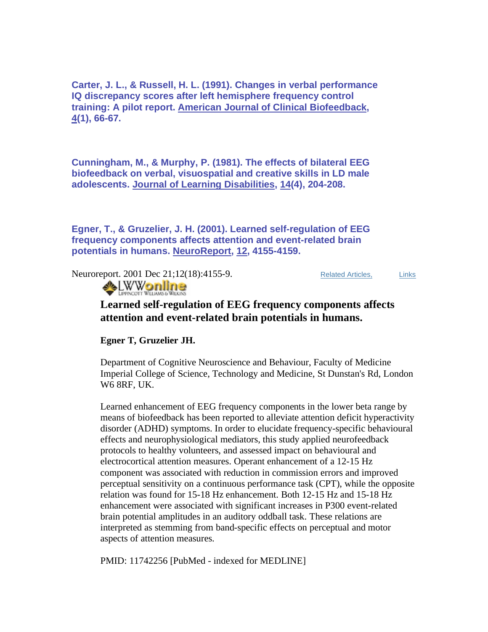**Carter, J. L., & Russell, H. L. (1991). Changes in verbal performance IQ discrepancy scores after left hemisphere frequency control training: A pilot report. American Journal of Clinical Biofeedback, 4(1), 66-67.** 

**Cunningham, M., & Murphy, P. (1981). The effects of bilateral EEG biofeedback on verbal, visuospatial and creative skills in LD male adolescents. Journal of Learning Disabilities, 14(4), 204-208.** 

**Egner, T., & Gruzelier, J. H. (2001). Learned self-regulation of EEG frequency components affects attention and event-related brain potentials in humans. NeuroReport, 12, 4155-4159.**

Neuroreport. 2001 Dec 21;12(18):4155-9. Related Articles, Links



### **Learned self-regulation of EEG frequency components affects attention and event-related brain potentials in humans.**

**Egner T, Gruzelier JH.**

Department of Cognitive Neuroscience and Behaviour, Faculty of Medicine Imperial College of Science, Technology and Medicine, St Dunstan's Rd, London W6 8RF, UK.

Learned enhancement of EEG frequency components in the lower beta range by means of biofeedback has been reported to alleviate attention deficit hyperactivity disorder (ADHD) symptoms. In order to elucidate frequency-specific behavioural effects and neurophysiological mediators, this study applied neurofeedback protocols to healthy volunteers, and assessed impact on behavioural and electrocortical attention measures. Operant enhancement of a 12-15 Hz component was associated with reduction in commission errors and improved perceptual sensitivity on a continuous performance task (CPT), while the opposite relation was found for 15-18 Hz enhancement. Both 12-15 Hz and 15-18 Hz enhancement were associated with significant increases in P300 event-related brain potential amplitudes in an auditory oddball task. These relations are interpreted as stemming from band-specific effects on perceptual and motor aspects of attention measures.

PMID: 11742256 [PubMed - indexed for MEDLINE]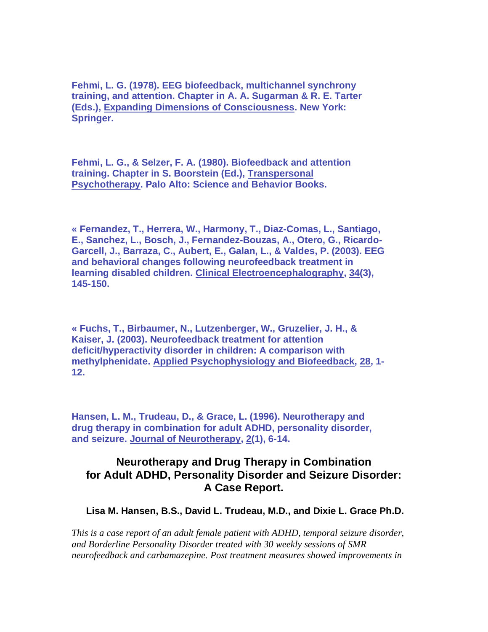**Fehmi, L. G. (1978). EEG biofeedback, multichannel synchrony training, and attention. Chapter in A. A. Sugarman & R. E. Tarter (Eds.), Expanding Dimensions of Consciousness. New York: Springer.** 

**Fehmi, L. G., & Selzer, F. A. (1980). Biofeedback and attention training. Chapter in S. Boorstein (Ed.), Transpersonal Psychotherapy. Palo Alto: Science and Behavior Books.** 

**« Fernandez, T., Herrera, W., Harmony, T., Diaz-Comas, L., Santiago, E., Sanchez, L., Bosch, J., Fernandez-Bouzas, A., Otero, G., Ricardo-Garcell, J., Barraza, C., Aubert, E., Galan, L., & Valdes, P. (2003). EEG and behavioral changes following neurofeedback treatment in learning disabled children. Clinical Electroencephalography, 34(3), 145-150.** 

**« Fuchs, T., Birbaumer, N., Lutzenberger, W., Gruzelier, J. H., & Kaiser, J. (2003). Neurofeedback treatment for attention deficit/hyperactivity disorder in children: A comparison with methylphenidate. Applied Psychophysiology and Biofeedback, 28, 1- 12.** 

**Hansen, L. M., Trudeau, D., & Grace, L. (1996). Neurotherapy and drug therapy in combination for adult ADHD, personality disorder, and seizure. Journal of Neurotherapy, 2(1), 6-14.**

### **Neurotherapy and Drug Therapy in Combination for Adult ADHD, Personality Disorder and Seizure Disorder: A Case Report.**

 **Lisa M. Hansen, B.S., David L. Trudeau, M.D., and Dixie L. Grace Ph.D.** 

*This is a case report of an adult female patient with ADHD, temporal seizure disorder, and Borderline Personality Disorder treated with 30 weekly sessions of SMR neurofeedback and carbamazepine. Post treatment measures showed improvements in*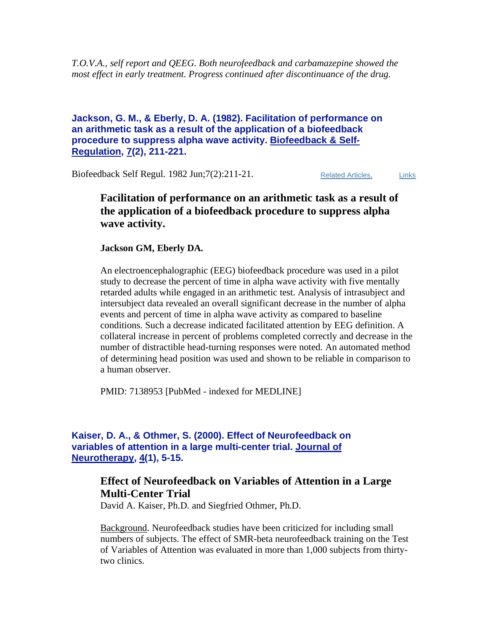*T.O.V.A., self report and QEEG. Both neurofeedback and carbamazepine showed the most effect in early treatment. Progress continued after discontinuance of the drug.* 

#### **Jackson, G. M., & Eberly, D. A. (1982). Facilitation of performance on an arithmetic task as a result of the application of a biofeedback procedure to suppress alpha wave activity. Biofeedback & Self-Regulation, 7(2), 211-221.**

Biofeedback Self Regul. 1982 Jun; 7(2): 211-21. Related Articles, Links

### **Facilitation of performance on an arithmetic task as a result of the application of a biofeedback procedure to suppress alpha wave activity.**

**Jackson GM, Eberly DA.**

An electroencephalographic (EEG) biofeedback procedure was used in a pilot study to decrease the percent of time in alpha wave activity with five mentally retarded adults while engaged in an arithmetic test. Analysis of intrasubject and intersubject data revealed an overall significant decrease in the number of alpha events and percent of time in alpha wave activity as compared to baseline conditions. Such a decrease indicated facilitated attention by EEG definition. A collateral increase in percent of problems completed correctly and decrease in the number of distractible head-turning responses were noted. An automated method of determining head position was used and shown to be reliable in comparison to a human observer.

PMID: 7138953 [PubMed - indexed for MEDLINE]

#### **Kaiser, D. A., & Othmer, S. (2000). Effect of Neurofeedback on variables of attention in a large multi-center trial. Journal of Neurotherapy, 4(1), 5-15.**

### **Effect of Neurofeedback on Variables of Attention in a Large Multi-Center Trial**

David A. Kaiser, Ph.D. and Siegfried Othmer, Ph.D.

Background. Neurofeedback studies have been criticized for including small numbers of subjects. The effect of SMR-beta neurofeedback training on the Test of Variables of Attention was evaluated in more than 1,000 subjects from thirtytwo clinics.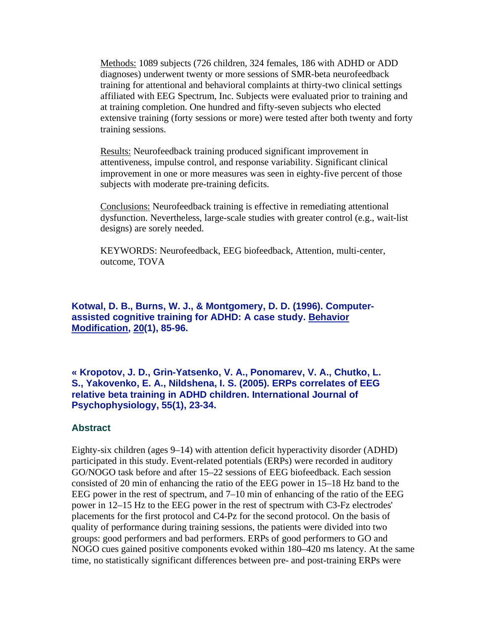Methods: 1089 subjects (726 children, 324 females, 186 with ADHD or ADD diagnoses) underwent twenty or more sessions of SMR-beta neurofeedback training for attentional and behavioral complaints at thirty-two clinical settings affiliated with EEG Spectrum, Inc. Subjects were evaluated prior to training and at training completion. One hundred and fifty-seven subjects who elected extensive training (forty sessions or more) were tested after both twenty and forty training sessions.

Results: Neurofeedback training produced significant improvement in attentiveness, impulse control, and response variability. Significant clinical improvement in one or more measures was seen in eighty-five percent of those subjects with moderate pre-training deficits.

Conclusions: Neurofeedback training is effective in remediating attentional dysfunction. Nevertheless, large-scale studies with greater control (e.g., wait-list designs) are sorely needed.

KEYWORDS: Neurofeedback, EEG biofeedback, Attention, multi-center, outcome, TOVA

**Kotwal, D. B., Burns, W. J., & Montgomery, D. D. (1996). Computerassisted cognitive training for ADHD: A case study. Behavior Modification, 20(1), 85-96.** 

**« Kropotov, J. D., Grin-Yatsenko, V. A., Ponomarev, V. A., Chutko, L. S., Yakovenko, E. A., Nildshena, I. S. (2005). ERPs correlates of EEG relative beta training in ADHD children. International Journal of Psychophysiology, 55(1), 23-34.** 

#### **Abstract**

Eighty-six children (ages 9–14) with attention deficit hyperactivity disorder (ADHD) participated in this study. Event-related potentials (ERPs) were recorded in auditory GO/NOGO task before and after 15–22 sessions of EEG biofeedback. Each session consisted of 20 min of enhancing the ratio of the EEG power in 15–18 Hz band to the EEG power in the rest of spectrum, and 7–10 min of enhancing of the ratio of the EEG power in 12–15 Hz to the EEG power in the rest of spectrum with C3-Fz electrodes' placements for the first protocol and C4-Pz for the second protocol. On the basis of quality of performance during training sessions, the patients were divided into two groups: good performers and bad performers. ERPs of good performers to GO and NOGO cues gained positive components evoked within 180–420 ms latency. At the same time, no statistically significant differences between pre- and post-training ERPs were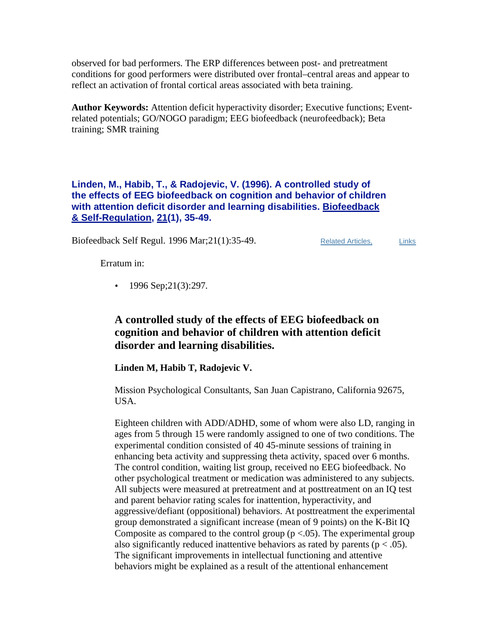observed for bad performers. The ERP differences between post- and pretreatment conditions for good performers were distributed over frontal–central areas and appear to reflect an activation of frontal cortical areas associated with beta training.

**Author Keywords:** Attention deficit hyperactivity disorder; Executive functions; Eventrelated potentials; GO/NOGO paradigm; EEG biofeedback (neurofeedback); Beta training; SMR training

**Linden, M., Habib, T., & Radojevic, V. (1996). A controlled study of the effects of EEG biofeedback on cognition and behavior of children with attention deficit disorder and learning disabilities. Biofeedback & Self-Regulation, 21(1), 35-49.** 

Biofeedback Self Regul. 1996 Mar; 21(1): 35-49. Related Articles, Links

Erratum in:

• 1996 Sep;  $21(3)$ :  $297$ .

### **A controlled study of the effects of EEG biofeedback on cognition and behavior of children with attention deficit disorder and learning disabilities.**

**Linden M, Habib T, Radojevic V.**

Mission Psychological Consultants, San Juan Capistrano, California 92675, USA.

Eighteen children with ADD/ADHD, some of whom were also LD, ranging in ages from 5 through 15 were randomly assigned to one of two conditions. The experimental condition consisted of 40 45-minute sessions of training in enhancing beta activity and suppressing theta activity, spaced over 6 months. The control condition, waiting list group, received no EEG biofeedback. No other psychological treatment or medication was administered to any subjects. All subjects were measured at pretreatment and at posttreatment on an IQ test and parent behavior rating scales for inattention, hyperactivity, and aggressive/defiant (oppositional) behaviors. At posttreatment the experimental group demonstrated a significant increase (mean of 9 points) on the K-Bit IQ Composite as compared to the control group ( $p < .05$ ). The experimental group also significantly reduced inattentive behaviors as rated by parents ( $p < .05$ ). The significant improvements in intellectual functioning and attentive behaviors might be explained as a result of the attentional enhancement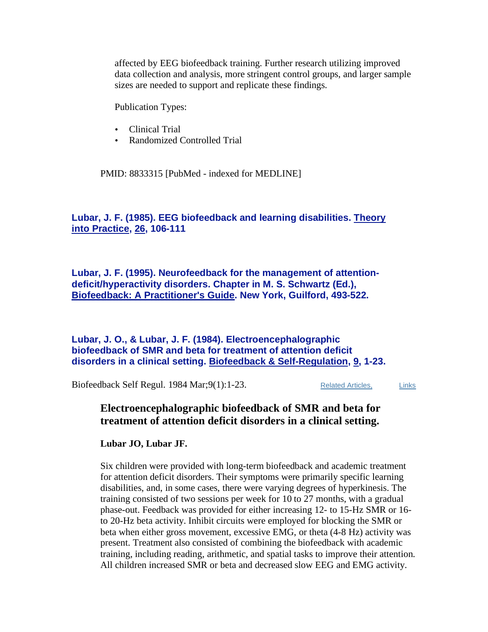affected by EEG biofeedback training. Further research utilizing improved data collection and analysis, more stringent control groups, and larger sample sizes are needed to support and replicate these findings.

Publication Types:

- Clinical Trial
- Randomized Controlled Trial

PMID: 8833315 [PubMed - indexed for MEDLINE]

### **Lubar, J. F. (1985). EEG biofeedback and learning disabilities. Theory into Practice, 26, 106-111**

**Lubar, J. F. (1995). Neurofeedback for the management of attentiondeficit/hyperactivity disorders. Chapter in M. S. Schwartz (Ed.), Biofeedback: A Practitioner's Guide. New York, Guilford, 493-522.** 

#### **Lubar, J. O., & Lubar, J. F. (1984). Electroencephalographic biofeedback of SMR and beta for treatment of attention deficit disorders in a clinical setting. Biofeedback & Self-Regulation, 9, 1-23.**

Biofeedback Self Regul. 1984 Mar; 9(1): 1-23. Related Articles, Links

### **Electroencephalographic biofeedback of SMR and beta for treatment of attention deficit disorders in a clinical setting.**

**Lubar JO, Lubar JF.**

Six children were provided with long-term biofeedback and academic treatment for attention deficit disorders. Their symptoms were primarily specific learning disabilities, and, in some cases, there were varying degrees of hyperkinesis. The training consisted of two sessions per week for 10 to 27 months, with a gradual phase-out. Feedback was provided for either increasing 12- to 15-Hz SMR or 16 to 20-Hz beta activity. Inhibit circuits were employed for blocking the SMR or beta when either gross movement, excessive EMG, or theta (4-8 Hz) activity was present. Treatment also consisted of combining the biofeedback with academic training, including reading, arithmetic, and spatial tasks to improve their attention. All children increased SMR or beta and decreased slow EEG and EMG activity.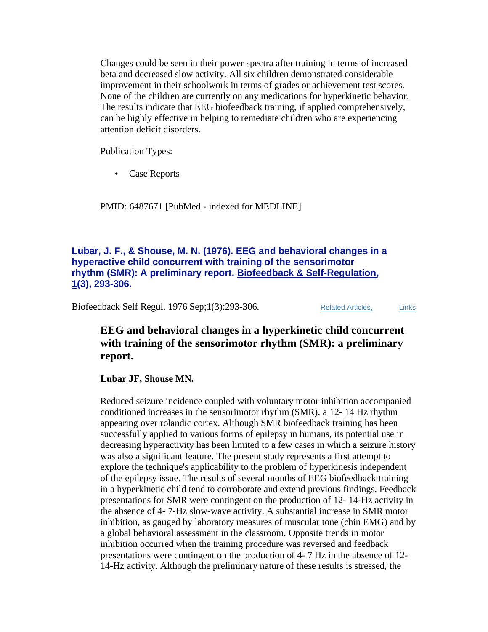Changes could be seen in their power spectra after training in terms of increased beta and decreased slow activity. All six children demonstrated considerable improvement in their schoolwork in terms of grades or achievement test scores. None of the children are currently on any medications for hyperkinetic behavior. The results indicate that EEG biofeedback training, if applied comprehensively, can be highly effective in helping to remediate children who are experiencing attention deficit disorders.

Publication Types:

• Case Reports

PMID: 6487671 [PubMed - indexed for MEDLINE]

#### **Lubar, J. F., & Shouse, M. N. (1976). EEG and behavioral changes in a hyperactive child concurrent with training of the sensorimotor rhythm (SMR): A preliminary report. Biofeedback & Self-Regulation, 1(3), 293-306.**

Biofeedback Self Regul. 1976 Sep;1(3):293-306. Related Articles, Links

### **EEG and behavioral changes in a hyperkinetic child concurrent with training of the sensorimotor rhythm (SMR): a preliminary report.**

**Lubar JF, Shouse MN.**

Reduced seizure incidence coupled with voluntary motor inhibition accompanied conditioned increases in the sensorimotor rhythm (SMR), a 12- 14 Hz rhythm appearing over rolandic cortex. Although SMR biofeedback training has been successfully applied to various forms of epilepsy in humans, its potential use in decreasing hyperactivity has been limited to a few cases in which a seizure history was also a significant feature. The present study represents a first attempt to explore the technique's applicability to the problem of hyperkinesis independent of the epilepsy issue. The results of several months of EEG biofeedback training in a hyperkinetic child tend to corroborate and extend previous findings. Feedback presentations for SMR were contingent on the production of 12- 14-Hz activity in the absence of 4- 7-Hz slow-wave activity. A substantial increase in SMR motor inhibition, as gauged by laboratory measures of muscular tone (chin EMG) and by a global behavioral assessment in the classroom. Opposite trends in motor inhibition occurred when the training procedure was reversed and feedback presentations were contingent on the production of 4- 7 Hz in the absence of 12- 14-Hz activity. Although the preliminary nature of these results is stressed, the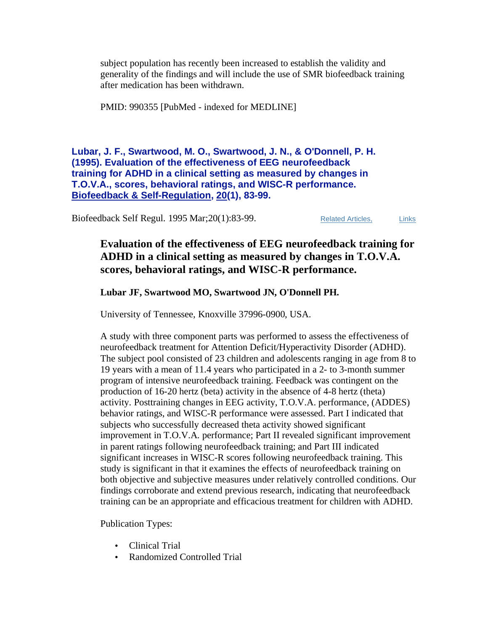subject population has recently been increased to establish the validity and generality of the findings and will include the use of SMR biofeedback training after medication has been withdrawn.

PMID: 990355 [PubMed - indexed for MEDLINE]

**Lubar, J. F., Swartwood, M. O., Swartwood, J. N., & O'Donnell, P. H. (1995). Evaluation of the effectiveness of EEG neurofeedback training for ADHD in a clinical setting as measured by changes in T.O.V.A., scores, behavioral ratings, and WISC-R performance. Biofeedback & Self-Regulation, 20(1), 83-99.**

Biofeedback Self Regul. 1995 Mar; 20(1):83-99. Related Articles, Links

### **Evaluation of the effectiveness of EEG neurofeedback training for ADHD in a clinical setting as measured by changes in T.O.V.A. scores, behavioral ratings, and WISC-R performance.**

#### **Lubar JF, Swartwood MO, Swartwood JN, O'Donnell PH.**

University of Tennessee, Knoxville 37996-0900, USA.

A study with three component parts was performed to assess the effectiveness of neurofeedback treatment for Attention Deficit/Hyperactivity Disorder (ADHD). The subject pool consisted of 23 children and adolescents ranging in age from 8 to 19 years with a mean of 11.4 years who participated in a 2- to 3-month summer program of intensive neurofeedback training. Feedback was contingent on the production of 16-20 hertz (beta) activity in the absence of 4-8 hertz (theta) activity. Posttraining changes in EEG activity, T.O.V.A. performance, (ADDES) behavior ratings, and WISC-R performance were assessed. Part I indicated that subjects who successfully decreased theta activity showed significant improvement in T.O.V.A. performance; Part II revealed significant improvement in parent ratings following neurofeedback training; and Part III indicated significant increases in WISC-R scores following neurofeedback training. This study is significant in that it examines the effects of neurofeedback training on both objective and subjective measures under relatively controlled conditions. Our findings corroborate and extend previous research, indicating that neurofeedback training can be an appropriate and efficacious treatment for children with ADHD.

Publication Types:

- Clinical Trial
- Randomized Controlled Trial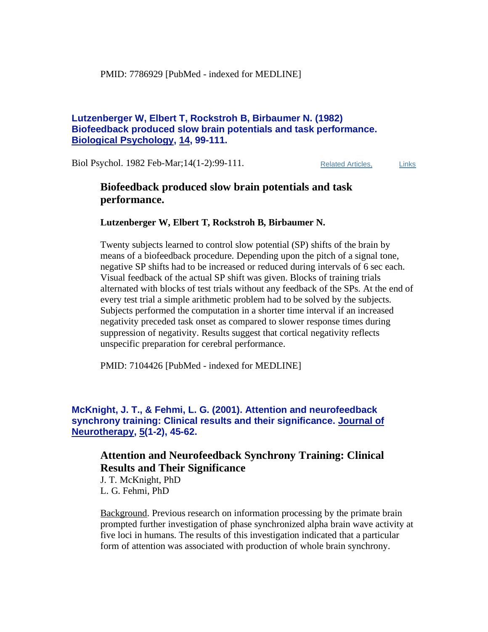#### **Lutzenberger W, Elbert T, Rockstroh B, Birbaumer N. (1982) Biofeedback produced slow brain potentials and task performance. Biological Psychology, 14, 99-111.**

Biol Psychol. 1982 Feb-Mar;14(1-2):99-111. Related Articles, Links

### **Biofeedback produced slow brain potentials and task performance.**

#### **Lutzenberger W, Elbert T, Rockstroh B, Birbaumer N.**

Twenty subjects learned to control slow potential (SP) shifts of the brain by means of a biofeedback procedure. Depending upon the pitch of a signal tone, negative SP shifts had to be increased or reduced during intervals of 6 sec each. Visual feedback of the actual SP shift was given. Blocks of training trials alternated with blocks of test trials without any feedback of the SPs. At the end of every test trial a simple arithmetic problem had to be solved by the subjects. Subjects performed the computation in a shorter time interval if an increased negativity preceded task onset as compared to slower response times during suppression of negativity. Results suggest that cortical negativity reflects unspecific preparation for cerebral performance.

PMID: 7104426 [PubMed - indexed for MEDLINE]

**McKnight, J. T., & Fehmi, L. G. (2001). Attention and neurofeedback synchrony training: Clinical results and their significance. Journal of Neurotherapy, 5(1-2), 45-62.** 

### **Attention and Neurofeedback Synchrony Training: Clinical Results and Their Significance**

J. T. McKnight, PhD L. G. Fehmi, PhD

Background. Previous research on information processing by the primate brain prompted further investigation of phase synchronized alpha brain wave activity at five loci in humans. The results of this investigation indicated that a particular form of attention was associated with production of whole brain synchrony.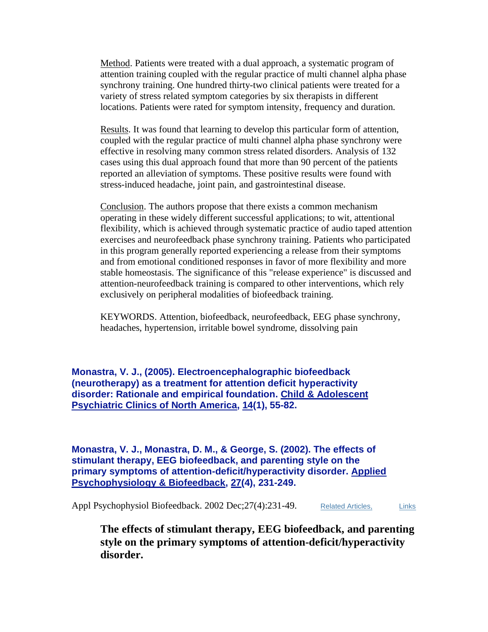Method. Patients were treated with a dual approach, a systematic program of attention training coupled with the regular practice of multi channel alpha phase synchrony training. One hundred thirty-two clinical patients were treated for a variety of stress related symptom categories by six therapists in different locations. Patients were rated for symptom intensity, frequency and duration.

Results. It was found that learning to develop this particular form of attention, coupled with the regular practice of multi channel alpha phase synchrony were effective in resolving many common stress related disorders. Analysis of 132 cases using this dual approach found that more than 90 percent of the patients reported an alleviation of symptoms. These positive results were found with stress-induced headache, joint pain, and gastrointestinal disease.

Conclusion. The authors propose that there exists a common mechanism operating in these widely different successful applications; to wit, attentional flexibility, which is achieved through systematic practice of audio taped attention exercises and neurofeedback phase synchrony training. Patients who participated in this program generally reported experiencing a release from their symptoms and from emotional conditioned responses in favor of more flexibility and more stable homeostasis. The significance of this "release experience" is discussed and attention-neurofeedback training is compared to other interventions, which rely exclusively on peripheral modalities of biofeedback training.

KEYWORDS. Attention, biofeedback, neurofeedback, EEG phase synchrony, headaches, hypertension, irritable bowel syndrome, dissolving pain

**Monastra, V. J., (2005). Electroencephalographic biofeedback (neurotherapy) as a treatment for attention deficit hyperactivity disorder: Rationale and empirical foundation. Child & Adolescent Psychiatric Clinics of North America, 14(1), 55-82.** 

**Monastra, V. J., Monastra, D. M., & George, S. (2002). The effects of stimulant therapy, EEG biofeedback, and parenting style on the primary symptoms of attention-deficit/hyperactivity disorder. Applied Psychophysiology & Biofeedback, 27(4), 231-249.** 

Appl Psychophysiol Biofeedback. 2002 Dec; 27(4): 231-49. Related Articles, Links

**The effects of stimulant therapy, EEG biofeedback, and parenting style on the primary symptoms of attention-deficit/hyperactivity disorder.**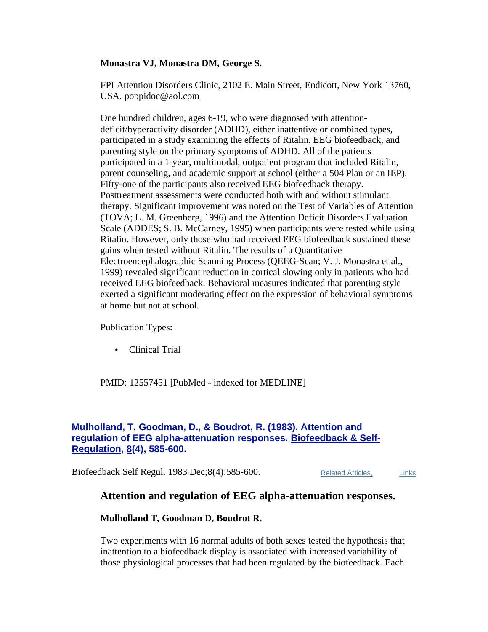#### **Monastra VJ, Monastra DM, George S.**

FPI Attention Disorders Clinic, 2102 E. Main Street, Endicott, New York 13760, USA. poppidoc@aol.com

One hundred children, ages 6-19, who were diagnosed with attentiondeficit/hyperactivity disorder (ADHD), either inattentive or combined types, participated in a study examining the effects of Ritalin, EEG biofeedback, and parenting style on the primary symptoms of ADHD. All of the patients participated in a 1-year, multimodal, outpatient program that included Ritalin, parent counseling, and academic support at school (either a 504 Plan or an IEP). Fifty-one of the participants also received EEG biofeedback therapy. Posttreatment assessments were conducted both with and without stimulant therapy. Significant improvement was noted on the Test of Variables of Attention (TOVA; L. M. Greenberg, 1996) and the Attention Deficit Disorders Evaluation Scale (ADDES; S. B. McCarney, 1995) when participants were tested while using Ritalin. However, only those who had received EEG biofeedback sustained these gains when tested without Ritalin. The results of a Quantitative Electroencephalographic Scanning Process (QEEG-Scan; V. J. Monastra et al., 1999) revealed significant reduction in cortical slowing only in patients who had received EEG biofeedback. Behavioral measures indicated that parenting style exerted a significant moderating effect on the expression of behavioral symptoms at home but not at school.

Publication Types:

• Clinical Trial

PMID: 12557451 [PubMed - indexed for MEDLINE]

#### **Mulholland, T. Goodman, D., & Boudrot, R. (1983). Attention and regulation of EEG alpha-attenuation responses. Biofeedback & Self-Regulation, 8(4), 585-600.**

Biofeedback Self Regul. 1983 Dec; 8(4): 585-600. Related Articles, Links

### **Attention and regulation of EEG alpha-attenuation responses.**

#### **Mulholland T, Goodman D, Boudrot R.**

Two experiments with 16 normal adults of both sexes tested the hypothesis that inattention to a biofeedback display is associated with increased variability of those physiological processes that had been regulated by the biofeedback. Each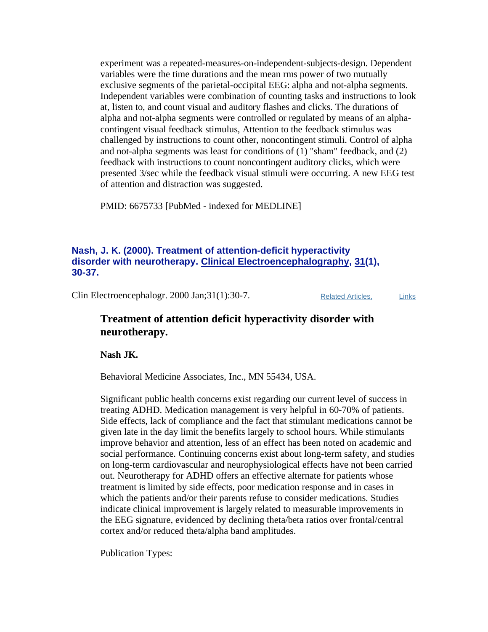experiment was a repeated-measures-on-independent-subjects-design. Dependent variables were the time durations and the mean rms power of two mutually exclusive segments of the parietal-occipital EEG: alpha and not-alpha segments. Independent variables were combination of counting tasks and instructions to look at, listen to, and count visual and auditory flashes and clicks. The durations of alpha and not-alpha segments were controlled or regulated by means of an alphacontingent visual feedback stimulus, Attention to the feedback stimulus was challenged by instructions to count other, noncontingent stimuli. Control of alpha and not-alpha segments was least for conditions of (1) "sham" feedback, and (2) feedback with instructions to count noncontingent auditory clicks, which were presented 3/sec while the feedback visual stimuli were occurring. A new EEG test of attention and distraction was suggested.

PMID: 6675733 [PubMed - indexed for MEDLINE]

#### **Nash, J. K. (2000). Treatment of attention-deficit hyperactivity disorder with neurotherapy. Clinical Electroencephalography, 31(1), 30-37.**

Clin Electroencephalogr. 2000 Jan;31(1):30-7. Related Articles, Links

### **Treatment of attention deficit hyperactivity disorder with neurotherapy.**

**Nash JK.**

Behavioral Medicine Associates, Inc., MN 55434, USA.

Significant public health concerns exist regarding our current level of success in treating ADHD. Medication management is very helpful in 60-70% of patients. Side effects, lack of compliance and the fact that stimulant medications cannot be given late in the day limit the benefits largely to school hours. While stimulants improve behavior and attention, less of an effect has been noted on academic and social performance. Continuing concerns exist about long-term safety, and studies on long-term cardiovascular and neurophysiological effects have not been carried out. Neurotherapy for ADHD offers an effective alternate for patients whose treatment is limited by side effects, poor medication response and in cases in which the patients and/or their parents refuse to consider medications. Studies indicate clinical improvement is largely related to measurable improvements in the EEG signature, evidenced by declining theta/beta ratios over frontal/central cortex and/or reduced theta/alpha band amplitudes.

Publication Types: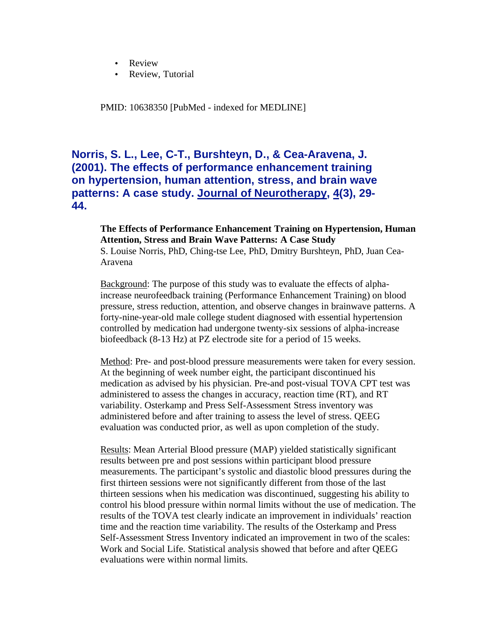- Review
- Review, Tutorial

PMID: 10638350 [PubMed - indexed for MEDLINE]

### **Norris, S. L., Lee, C-T., Burshteyn, D., & Cea-Aravena, J. (2001). The effects of performance enhancement training on hypertension, human attention, stress, and brain wave patterns: A case study. Journal of Neurotherapy, 4(3), 29- 44.**

#### **The Effects of Performance Enhancement Training on Hypertension, Human Attention, Stress and Brain Wave Patterns: A Case Study**

S. Louise Norris, PhD, Ching-tse Lee, PhD, Dmitry Burshteyn, PhD, Juan Cea-Aravena

Background: The purpose of this study was to evaluate the effects of alphaincrease neurofeedback training (Performance Enhancement Training) on blood pressure, stress reduction, attention, and observe changes in brainwave patterns. A forty-nine-year-old male college student diagnosed with essential hypertension controlled by medication had undergone twenty-six sessions of alpha-increase biofeedback (8-13 Hz) at PZ electrode site for a period of 15 weeks.

Method: Pre- and post-blood pressure measurements were taken for every session. At the beginning of week number eight, the participant discontinued his medication as advised by his physician. Pre-and post-visual TOVA CPT test was administered to assess the changes in accuracy, reaction time (RT), and RT variability. Osterkamp and Press Self-Assessment Stress inventory was administered before and after training to assess the level of stress. QEEG evaluation was conducted prior, as well as upon completion of the study.

Results: Mean Arterial Blood pressure (MAP) yielded statistically significant results between pre and post sessions within participant blood pressure measurements. The participant's systolic and diastolic blood pressures during the first thirteen sessions were not significantly different from those of the last thirteen sessions when his medication was discontinued, suggesting his ability to control his blood pressure within normal limits without the use of medication. The results of the TOVA test clearly indicate an improvement in individuals' reaction time and the reaction time variability. The results of the Osterkamp and Press Self-Assessment Stress Inventory indicated an improvement in two of the scales: Work and Social Life. Statistical analysis showed that before and after QEEG evaluations were within normal limits.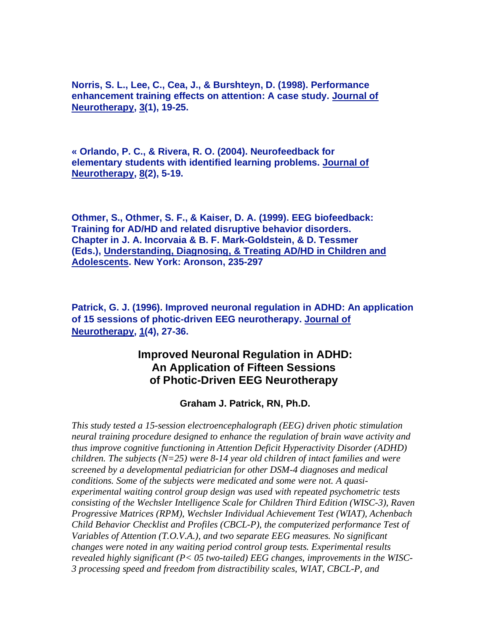**Norris, S. L., Lee, C., Cea, J., & Burshteyn, D. (1998). Performance enhancement training effects on attention: A case study. Journal of Neurotherapy, 3(1), 19-25.** 

**« Orlando, P. C., & Rivera, R. O. (2004). Neurofeedback for elementary students with identified learning problems. Journal of Neurotherapy, 8(2), 5-19.** 

**Othmer, S., Othmer, S. F., & Kaiser, D. A. (1999). EEG biofeedback: Training for AD/HD and related disruptive behavior disorders. Chapter in J. A. Incorvaia & B. F. Mark-Goldstein, & D. Tessmer (Eds.), Understanding, Diagnosing, & Treating AD/HD in Children and Adolescents. New York: Aronson, 235-297** 

**Patrick, G. J. (1996). Improved neuronal regulation in ADHD: An application of 15 sessions of photic-driven EEG neurotherapy. Journal of Neurotherapy, 1(4), 27-36.** 

### **Improved Neuronal Regulation in ADHD: An Application of Fifteen Sessions of Photic-Driven EEG Neurotherapy**

 **Graham J. Patrick, RN, Ph.D.** 

*This study tested a 15-session electroencephalograph (EEG) driven photic stimulation neural training procedure designed to enhance the regulation of brain wave activity and thus improve cognitive functioning in Attention Deficit Hyperactivity Disorder (ADHD) children. The subjects (N=25) were 8-14 year old children of intact families and were screened by a developmental pediatrician for other DSM-4 diagnoses and medical conditions. Some of the subjects were medicated and some were not. A quasiexperimental waiting control group design was used with repeated psychometric tests consisting of the Wechsler Intelligence Scale for Children Third Edition (WISC-3), Raven Progressive Matrices (RPM), Wechsler Individual Achievement Test (WIAT), Achenbach Child Behavior Checklist and Profiles (CBCL-P), the computerized performance Test of Variables of Attention (T.O.V.A.), and two separate EEG measures. No significant changes were noted in any waiting period control group tests. Experimental results revealed highly significant (P< 05 two-tailed) EEG changes, improvements in the WISC-3 processing speed and freedom from distractibility scales, WIAT, CBCL-P, and*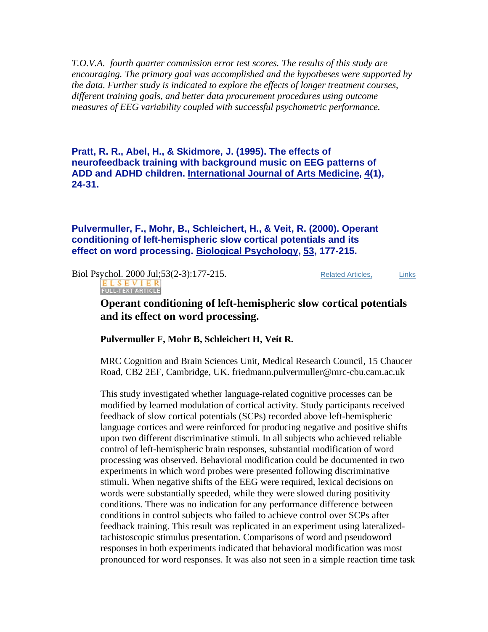*T.O.V.A. fourth quarter commission error test scores. The results of this study are encouraging. The primary goal was accomplished and the hypotheses were supported by the data. Further study is indicated to explore the effects of longer treatment courses, different training goals, and better data procurement procedures using outcome measures of EEG variability coupled with successful psychometric performance.* 

**Pratt, R. R., Abel, H., & Skidmore, J. (1995). The effects of neurofeedback training with background music on EEG patterns of ADD and ADHD children. International Journal of Arts Medicine, 4(1), 24-31.** 

**Pulvermuller, F., Mohr, B., Schleichert, H., & Veit, R. (2000). Operant conditioning of left-hemispheric slow cortical potentials and its effect on word processing. Biological Psychology, 53, 177-215.**

**Biol Psychol. 2000 Jul;53(2-3):177-215.** Related Articles, Links

ELSEVIER<br>FULL-TEXT ARTICLE

### **Operant conditioning of left-hemispheric slow cortical potentials and its effect on word processing.**

#### **Pulvermuller F, Mohr B, Schleichert H, Veit R.**

MRC Cognition and Brain Sciences Unit, Medical Research Council, 15 Chaucer Road, CB2 2EF, Cambridge, UK. friedmann.pulvermuller@mrc-cbu.cam.ac.uk

This study investigated whether language-related cognitive processes can be modified by learned modulation of cortical activity. Study participants received feedback of slow cortical potentials (SCPs) recorded above left-hemispheric language cortices and were reinforced for producing negative and positive shifts upon two different discriminative stimuli. In all subjects who achieved reliable control of left-hemispheric brain responses, substantial modification of word processing was observed. Behavioral modification could be documented in two experiments in which word probes were presented following discriminative stimuli. When negative shifts of the EEG were required, lexical decisions on words were substantially speeded, while they were slowed during positivity conditions. There was no indication for any performance difference between conditions in control subjects who failed to achieve control over SCPs after feedback training. This result was replicated in an experiment using lateralizedtachistoscopic stimulus presentation. Comparisons of word and pseudoword responses in both experiments indicated that behavioral modification was most pronounced for word responses. It was also not seen in a simple reaction time task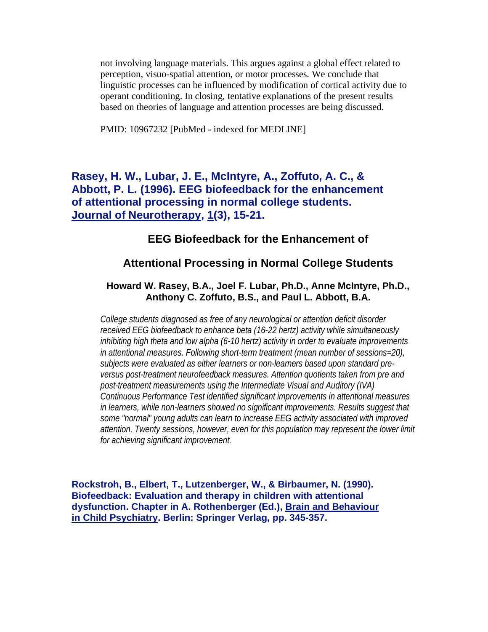not involving language materials. This argues against a global effect related to perception, visuo-spatial attention, or motor processes. We conclude that linguistic processes can be influenced by modification of cortical activity due to operant conditioning. In closing, tentative explanations of the present results based on theories of language and attention processes are being discussed.

PMID: 10967232 [PubMed - indexed for MEDLINE]

### **Rasey, H. W., Lubar, J. E., McIntyre, A., Zoffuto, A. C., & Abbott, P. L. (1996). EEG biofeedback for the enhancement of attentional processing in normal college students. Journal of Neurotherapy, 1(3), 15-21.**

#### **EEG Biofeedback for the Enhancement of**

#### **Attentional Processing in Normal College Students**

#### **Howard W. Rasey, B.A., Joel F. Lubar, Ph.D., Anne McIntyre, Ph.D., Anthony C. Zoffuto, B.S., and Paul L. Abbott, B.A.**

*College students diagnosed as free of any neurological or attention deficit disorder received EEG biofeedback to enhance beta (16-22 hertz) activity while simultaneously inhibiting high theta and low alpha (6-10 hertz) activity in order to evaluate improvements in attentional measures. Following short-term treatment (mean number of sessions=20), subjects were evaluated as either learners or non-learners based upon standard preversus post-treatment neurofeedback measures. Attention quotients taken from pre and post-treatment measurements using the Intermediate Visual and Auditory (IVA) Continuous Performance Test identified significant improvements in attentional measures*  in learners, while non-learners showed no significant improvements. Results suggest that *some "normal" young adults can learn to increase EEG activity associated with improved attention. Twenty sessions, however, even for this population may represent the lower limit for achieving significant improvement.* 

**Rockstroh, B., Elbert, T., Lutzenberger, W., & Birbaumer, N. (1990). Biofeedback: Evaluation and therapy in children with attentional dysfunction. Chapter in A. Rothenberger (Ed.), Brain and Behaviour in Child Psychiatry. Berlin: Springer Verlag, pp. 345-357.**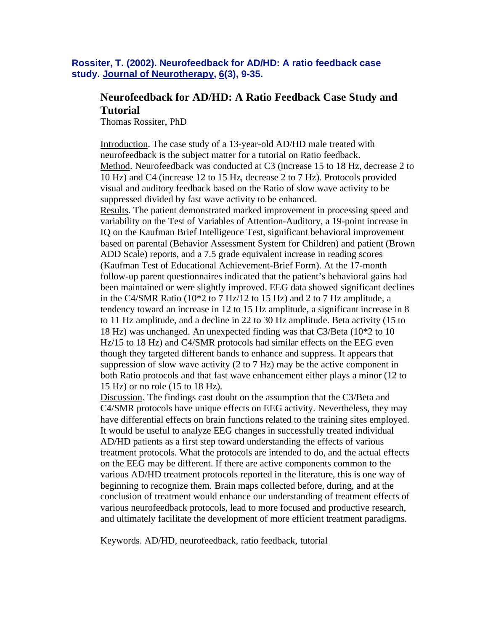#### **Rossiter, T. (2002). Neurofeedback for AD/HD: A ratio feedback case study. Journal of Neurotherapy, 6(3), 9-35.**

### **Neurofeedback for AD/HD: A Ratio Feedback Case Study and Tutorial**

Thomas Rossiter, PhD

Introduction. The case study of a 13-year-old AD/HD male treated with neurofeedback is the subject matter for a tutorial on Ratio feedback. Method. Neurofeedback was conducted at C3 (increase 15 to 18 Hz, decrease 2 to 10 Hz) and C4 (increase 12 to 15 Hz, decrease 2 to 7 Hz). Protocols provided visual and auditory feedback based on the Ratio of slow wave activity to be suppressed divided by fast wave activity to be enhanced. Results. The patient demonstrated marked improvement in processing speed and variability on the Test of Variables of Attention-Auditory, a 19-point increase in IQ on the Kaufman Brief Intelligence Test, significant behavioral improvement based on parental (Behavior Assessment System for Children) and patient (Brown ADD Scale) reports, and a 7.5 grade equivalent increase in reading scores (Kaufman Test of Educational Achievement-Brief Form). At the 17-month follow-up parent questionnaires indicated that the patient's behavioral gains had been maintained or were slightly improved. EEG data showed significant declines in the C4/SMR Ratio (10\*2 to 7 Hz/12 to 15 Hz) and 2 to 7 Hz amplitude, a tendency toward an increase in 12 to 15 Hz amplitude, a significant increase in 8 to 11 Hz amplitude, and a decline in 22 to 30 Hz amplitude. Beta activity (15 to 18 Hz) was unchanged. An unexpected finding was that C3/Beta (10\*2 to 10 Hz/15 to 18 Hz) and C4/SMR protocols had similar effects on the EEG even though they targeted different bands to enhance and suppress. It appears that suppression of slow wave activity (2 to 7 Hz) may be the active component in both Ratio protocols and that fast wave enhancement either plays a minor (12 to 15 Hz) or no role (15 to 18 Hz).

Discussion. The findings cast doubt on the assumption that the C3/Beta and C4/SMR protocols have unique effects on EEG activity. Nevertheless, they may have differential effects on brain functions related to the training sites employed. It would be useful to analyze EEG changes in successfully treated individual AD/HD patients as a first step toward understanding the effects of various treatment protocols. What the protocols are intended to do, and the actual effects on the EEG may be different. If there are active components common to the various AD/HD treatment protocols reported in the literature, this is one way of beginning to recognize them. Brain maps collected before, during, and at the conclusion of treatment would enhance our understanding of treatment effects of various neurofeedback protocols, lead to more focused and productive research, and ultimately facilitate the development of more efficient treatment paradigms.

Keywords. AD/HD, neurofeedback, ratio feedback, tutorial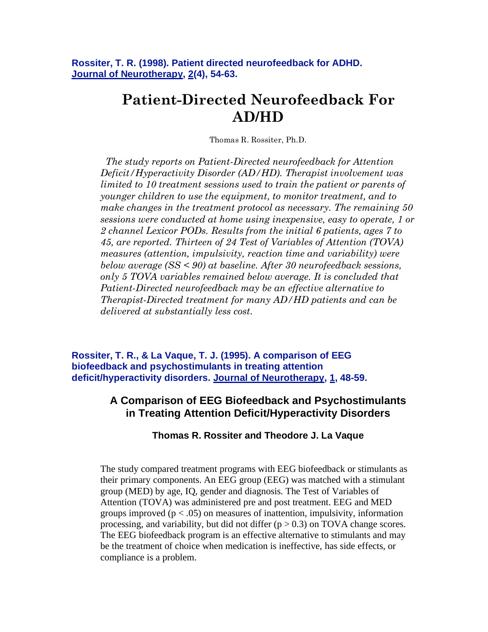**Rossiter, T. R. (1998). Patient directed neurofeedback for ADHD. Journal of Neurotherapy, 2(4), 54-63.** 

# **Patient-Directed Neurofeedback For AD/HD**

Thomas R. Rossiter, Ph.D.

*The study reports on Patient-Directed neurofeedback for Attention Deficit/Hyperactivity Disorder (AD/HD). Therapist involvement was limited to 10 treatment sessions used to train the patient or parents of younger children to use the equipment, to monitor treatment, and to make changes in the treatment protocol as necessary. The remaining 50 sessions were conducted at home using inexpensive, easy to operate, 1 or 2 channel Lexicor PODs. Results from the initial 6 patients, ages 7 to 45, are reported. Thirteen of 24 Test of Variables of Attention (TOVA) measures (attention, impulsivity, reaction time and variability) were below average (SS < 90) at baseline. After 30 neurofeedback sessions, only 5 TOVA variables remained below average. It is concluded that Patient-Directed neurofeedback may be an effective alternative to Therapist-Directed treatment for many AD/HD patients and can be delivered at substantially less cost.*

**Rossiter, T. R., & La Vaque, T. J. (1995). A comparison of EEG biofeedback and psychostimulants in treating attention deficit/hyperactivity disorders. Journal of Neurotherapy, 1, 48-59.**

### **A Comparison of EEG Biofeedback and Psychostimulants in Treating Attention Deficit/Hyperactivity Disorders**

#### **Thomas R. Rossiter and Theodore J. La Vaque**

The study compared treatment programs with EEG biofeedback or stimulants as their primary components. An EEG group (EEG) was matched with a stimulant group (MED) by age, IQ, gender and diagnosis. The Test of Variables of Attention (TOVA) was administered pre and post treatment. EEG and MED groups improved ( $p < .05$ ) on measures of inattention, impulsivity, information processing, and variability, but did not differ  $(p > 0.3)$  on TOVA change scores. The EEG biofeedback program is an effective alternative to stimulants and may be the treatment of choice when medication is ineffective, has side effects, or compliance is a problem.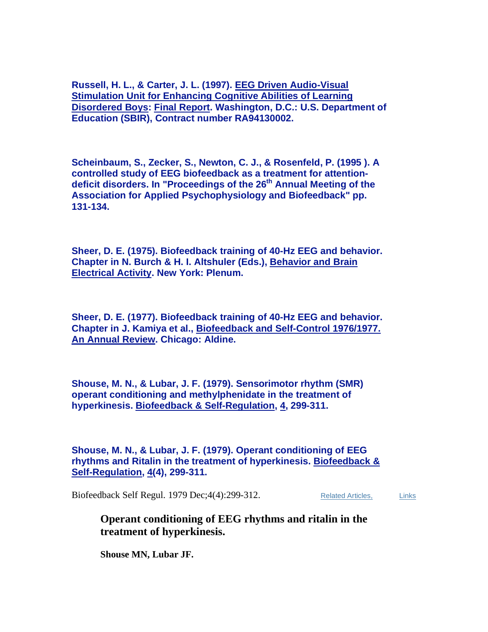**Russell, H. L., & Carter, J. L. (1997). EEG Driven Audio-Visual Stimulation Unit for Enhancing Cognitive Abilities of Learning Disordered Boys: Final Report. Washington, D.C.: U.S. Department of Education (SBIR), Contract number RA94130002.** 

**Scheinbaum, S., Zecker, S., Newton, C. J., & Rosenfeld, P. (1995 ). A controlled study of EEG biofeedback as a treatment for attentiondeficit disorders. In "Proceedings of the 26th Annual Meeting of the Association for Applied Psychophysiology and Biofeedback" pp. 131-134.** 

**Sheer, D. E. (1975). Biofeedback training of 40-Hz EEG and behavior. Chapter in N. Burch & H. I. Altshuler (Eds.), Behavior and Brain Electrical Activity. New York: Plenum.** 

**Sheer, D. E. (1977). Biofeedback training of 40-Hz EEG and behavior. Chapter in J. Kamiya et al., Biofeedback and Self-Control 1976/1977. An Annual Review. Chicago: Aldine.** 

**Shouse, M. N., & Lubar, J. F. (1979). Sensorimotor rhythm (SMR) operant conditioning and methylphenidate in the treatment of hyperkinesis. Biofeedback & Self-Regulation, 4, 299-311.** 

**Shouse, M. N., & Lubar, J. F. (1979). Operant conditioning of EEG rhythms and Ritalin in the treatment of hyperkinesis. Biofeedback & Self-Regulation, 4(4), 299-311.**

Biofeedback Self Regul. 1979 Dec; 4(4): 299-312. Related Articles, Links

**Operant conditioning of EEG rhythms and ritalin in the treatment of hyperkinesis.**

**Shouse MN, Lubar JF.**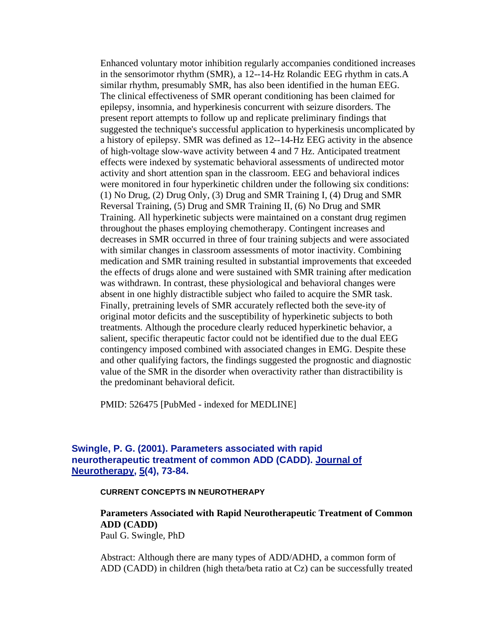Enhanced voluntary motor inhibition regularly accompanies conditioned increases in the sensorimotor rhythm (SMR), a 12--14-Hz Rolandic EEG rhythm in cats.A similar rhythm, presumably SMR, has also been identified in the human EEG. The clinical effectiveness of SMR operant conditioning has been claimed for epilepsy, insomnia, and hyperkinesis concurrent with seizure disorders. The present report attempts to follow up and replicate preliminary findings that suggested the technique's successful application to hyperkinesis uncomplicated by a history of epilepsy. SMR was defined as 12--14-Hz EEG activity in the absence of high-voltage slow-wave activity between 4 and 7 Hz. Anticipated treatment effects were indexed by systematic behavioral assessments of undirected motor activity and short attention span in the classroom. EEG and behavioral indices were monitored in four hyperkinetic children under the following six conditions: (1) No Drug, (2) Drug Only, (3) Drug and SMR Training I, (4) Drug and SMR Reversal Training, (5) Drug and SMR Training II, (6) No Drug and SMR Training. All hyperkinetic subjects were maintained on a constant drug regimen throughout the phases employing chemotherapy. Contingent increases and decreases in SMR occurred in three of four training subjects and were associated with similar changes in classroom assessments of motor inactivity. Combining medication and SMR training resulted in substantial improvements that exceeded the effects of drugs alone and were sustained with SMR training after medication was withdrawn. In contrast, these physiological and behavioral changes were absent in one highly distractible subject who failed to acquire the SMR task. Finally, pretraining levels of SMR accurately reflected both the seve-ity of original motor deficits and the susceptibility of hyperkinetic subjects to both treatments. Although the procedure clearly reduced hyperkinetic behavior, a salient, specific therapeutic factor could not be identified due to the dual EEG contingency imposed combined with associated changes in EMG. Despite these and other qualifying factors, the findings suggested the prognostic and diagnostic value of the SMR in the disorder when overactivity rather than distractibility is the predominant behavioral deficit.

PMID: 526475 [PubMed - indexed for MEDLINE]

#### **Swingle, P. G. (2001). Parameters associated with rapid neurotherapeutic treatment of common ADD (CADD). Journal of Neurotherapy, 5(4), 73-84.**

#### **CURRENT CONCEPTS IN NEUROTHERAPY**

**Parameters Associated with Rapid Neurotherapeutic Treatment of Common ADD (CADD)**  Paul G. Swingle, PhD

Abstract: Although there are many types of ADD/ADHD, a common form of ADD (CADD) in children (high theta/beta ratio at Cz) can be successfully treated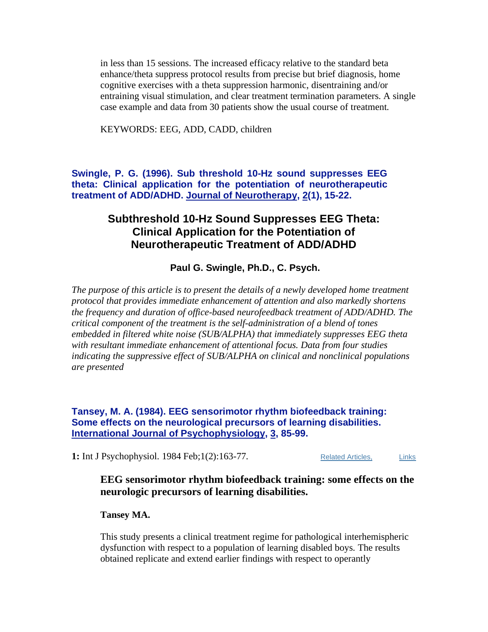in less than 15 sessions. The increased efficacy relative to the standard beta enhance/theta suppress protocol results from precise but brief diagnosis, home cognitive exercises with a theta suppression harmonic, disentraining and/or entraining visual stimulation, and clear treatment termination parameters. A single case example and data from 30 patients show the usual course of treatment.

KEYWORDS: EEG, ADD, CADD, children

**Swingle, P. G. (1996). Sub threshold 10-Hz sound suppresses EEG theta: Clinical application for the potentiation of neurotherapeutic treatment of ADD/ADHD. Journal of Neurotherapy, 2(1), 15-22.**

### **Subthreshold 10-Hz Sound Suppresses EEG Theta: Clinical Application for the Potentiation of Neurotherapeutic Treatment of ADD/ADHD**

 **Paul G. Swingle, Ph.D., C. Psych.** 

*The purpose of this article is to present the details of a newly developed home treatment protocol that provides immediate enhancement of attention and also markedly shortens the frequency and duration of office-based neurofeedback treatment of ADD/ADHD. The critical component of the treatment is the self-administration of a blend of tones embedded in filtered white noise (SUB/ALPHA) that immediately suppresses EEG theta with resultant immediate enhancement of attentional focus. Data from four studies indicating the suppressive effect of SUB/ALPHA on clinical and nonclinical populations are presented* 

**Tansey, M. A. (1984). EEG sensorimotor rhythm biofeedback training: Some effects on the neurological precursors of learning disabilities. International Journal of Psychophysiology, 3, 85-99.**

1: Int J Psychophysiol. 1984 Feb;1(2):163-77. Related Articles, Links

### **EEG sensorimotor rhythm biofeedback training: some effects on the neurologic precursors of learning disabilities.**

#### **Tansey MA.**

This study presents a clinical treatment regime for pathological interhemispheric dysfunction with respect to a population of learning disabled boys. The results obtained replicate and extend earlier findings with respect to operantly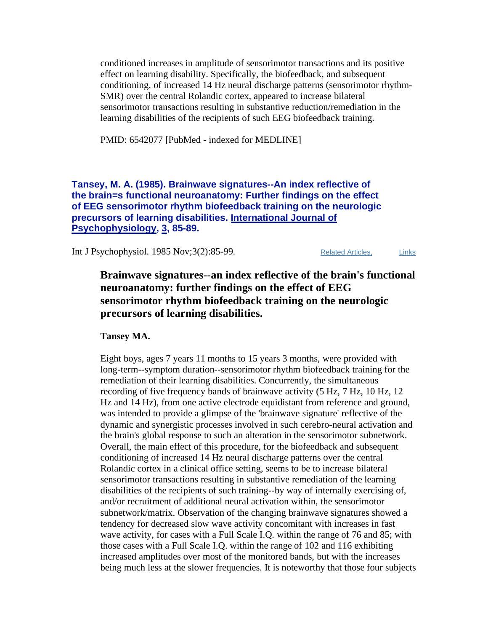conditioned increases in amplitude of sensorimotor transactions and its positive effect on learning disability. Specifically, the biofeedback, and subsequent conditioning, of increased 14 Hz neural discharge patterns (sensorimotor rhythm-SMR) over the central Rolandic cortex, appeared to increase bilateral sensorimotor transactions resulting in substantive reduction/remediation in the learning disabilities of the recipients of such EEG biofeedback training.

PMID: 6542077 [PubMed - indexed for MEDLINE]

#### **Tansey, M. A. (1985). Brainwave signatures--An index reflective of the brain=s functional neuroanatomy: Further findings on the effect of EEG sensorimotor rhythm biofeedback training on the neurologic precursors of learning disabilities. International Journal of Psychophysiology, 3, 85-89.**

Int J Psychophysiol. 1985 Nov; 3(2): 85-99. Related Articles, Links

### **Brainwave signatures--an index reflective of the brain's functional neuroanatomy: further findings on the effect of EEG sensorimotor rhythm biofeedback training on the neurologic precursors of learning disabilities.**

#### **Tansey MA.**

Eight boys, ages 7 years 11 months to 15 years 3 months, were provided with long-term--symptom duration--sensorimotor rhythm biofeedback training for the remediation of their learning disabilities. Concurrently, the simultaneous recording of five frequency bands of brainwave activity (5 Hz, 7 Hz, 10 Hz, 12 Hz and 14 Hz), from one active electrode equidistant from reference and ground, was intended to provide a glimpse of the 'brainwave signature' reflective of the dynamic and synergistic processes involved in such cerebro-neural activation and the brain's global response to such an alteration in the sensorimotor subnetwork. Overall, the main effect of this procedure, for the biofeedback and subsequent conditioning of increased 14 Hz neural discharge patterns over the central Rolandic cortex in a clinical office setting, seems to be to increase bilateral sensorimotor transactions resulting in substantive remediation of the learning disabilities of the recipients of such training--by way of internally exercising of, and/or recruitment of additional neural activation within, the sensorimotor subnetwork/matrix. Observation of the changing brainwave signatures showed a tendency for decreased slow wave activity concomitant with increases in fast wave activity, for cases with a Full Scale I.Q. within the range of 76 and 85; with those cases with a Full Scale I.Q. within the range of 102 and 116 exhibiting increased amplitudes over most of the monitored bands, but with the increases being much less at the slower frequencies. It is noteworthy that those four subjects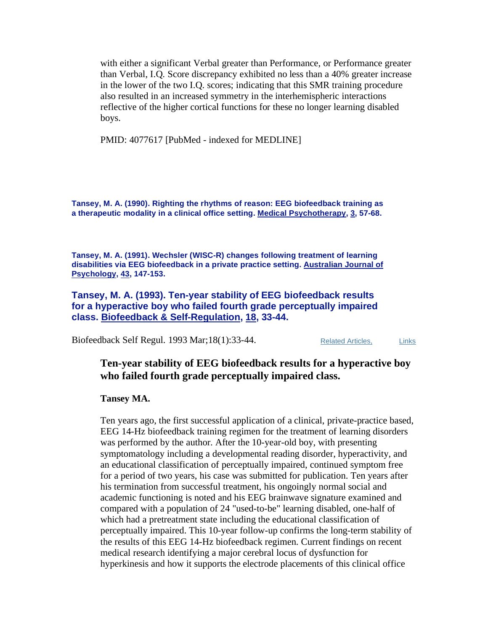with either a significant Verbal greater than Performance, or Performance greater than Verbal, I.Q. Score discrepancy exhibited no less than a 40% greater increase in the lower of the two I.Q. scores; indicating that this SMR training procedure also resulted in an increased symmetry in the interhemispheric interactions reflective of the higher cortical functions for these no longer learning disabled boys.

PMID: 4077617 [PubMed - indexed for MEDLINE]

**Tansey, M. A. (1990). Righting the rhythms of reason: EEG biofeedback training as a therapeutic modality in a clinical office setting. Medical Psychotherapy, 3, 57-68.** 

**Tansey, M. A. (1991). Wechsler (WISC-R) changes following treatment of learning disabilities via EEG biofeedback in a private practice setting. Australian Journal of Psychology, 43, 147-153.**

**Tansey, M. A. (1993). Ten-year stability of EEG biofeedback results for a hyperactive boy who failed fourth grade perceptually impaired class. Biofeedback & Self-Regulation, 18, 33-44.** 

Biofeedback Self Regul. 1993 Mar; 18(1): 33-44. Related Articles. Links

#### **Ten-year stability of EEG biofeedback results for a hyperactive boy who failed fourth grade perceptually impaired class.**

**Tansey MA.**

Ten years ago, the first successful application of a clinical, private-practice based, EEG 14-Hz biofeedback training regimen for the treatment of learning disorders was performed by the author. After the 10-year-old boy, with presenting symptomatology including a developmental reading disorder, hyperactivity, and an educational classification of perceptually impaired, continued symptom free for a period of two years, his case was submitted for publication. Ten years after his termination from successful treatment, his ongoingly normal social and academic functioning is noted and his EEG brainwave signature examined and compared with a population of 24 "used-to-be" learning disabled, one-half of which had a pretreatment state including the educational classification of perceptually impaired. This 10-year follow-up confirms the long-term stability of the results of this EEG 14-Hz biofeedback regimen. Current findings on recent medical research identifying a major cerebral locus of dysfunction for hyperkinesis and how it supports the electrode placements of this clinical office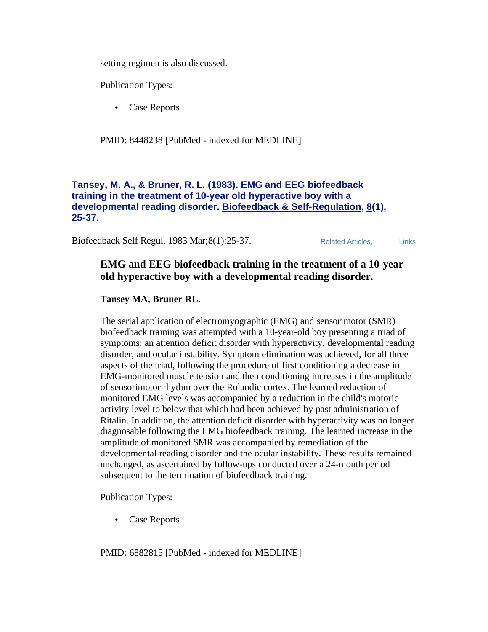setting regimen is also discussed.

Publication Types:

• Case Reports

PMID: 8448238 [PubMed - indexed for MEDLINE]

#### **Tansey, M. A., & Bruner, R. L. (1983). EMG and EEG biofeedback training in the treatment of 10-year old hyperactive boy with a developmental reading disorder. Biofeedback & Self-Regulation, 8(1), 25-37.**

Biofeedback Self Regul. 1983 Mar; 8(1): 25-37. Related Articles, Links

### **EMG and EEG biofeedback training in the treatment of a 10-yearold hyperactive boy with a developmental reading disorder.**

#### **Tansey MA, Bruner RL.**

The serial application of electromyographic (EMG) and sensorimotor (SMR) biofeedback training was attempted with a 10-year-old boy presenting a triad of symptoms: an attention deficit disorder with hyperactivity, developmental reading disorder, and ocular instability. Symptom elimination was achieved, for all three aspects of the triad, following the procedure of first conditioning a decrease in EMG-monitored muscle tension and then conditioning increases in the amplitude of sensorimotor rhythm over the Rolandic cortex. The learned reduction of monitored EMG levels was accompanied by a reduction in the child's motoric activity level to below that which had been achieved by past administration of Ritalin. In addition, the attention deficit disorder with hyperactivity was no longer diagnosable following the EMG biofeedback training. The learned increase in the amplitude of monitored SMR was accompanied by remediation of the developmental reading disorder and the ocular instability. These results remained unchanged, as ascertained by follow-ups conducted over a 24-month period subsequent to the termination of biofeedback training.

Publication Types:

• Case Reports

PMID: 6882815 [PubMed - indexed for MEDLINE]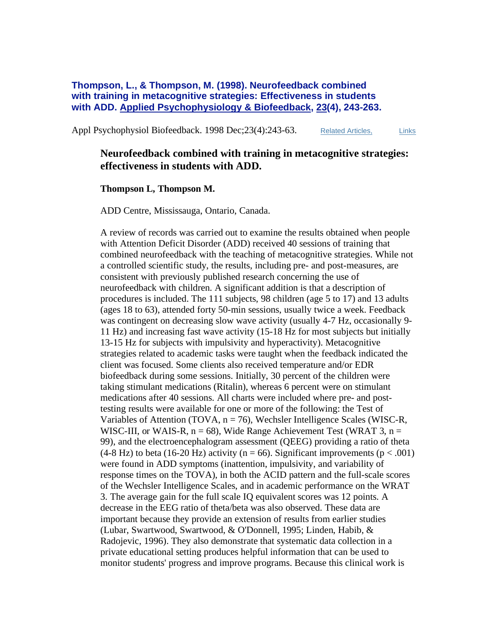**Thompson, L., & Thompson, M. (1998). Neurofeedback combined with training in metacognitive strategies: Effectiveness in students with ADD. Applied Psychophysiology & Biofeedback, 23(4), 243-263.**

Appl Psychophysiol Biofeedback. 1998 Dec; 23(4): 243-63. Related Articles, Links

### **Neurofeedback combined with training in metacognitive strategies: effectiveness in students with ADD.**

#### **Thompson L, Thompson M.**

ADD Centre, Mississauga, Ontario, Canada.

A review of records was carried out to examine the results obtained when people with Attention Deficit Disorder (ADD) received 40 sessions of training that combined neurofeedback with the teaching of metacognitive strategies. While not a controlled scientific study, the results, including pre- and post-measures, are consistent with previously published research concerning the use of neurofeedback with children. A significant addition is that a description of procedures is included. The 111 subjects, 98 children (age 5 to 17) and 13 adults (ages 18 to 63), attended forty 50-min sessions, usually twice a week. Feedback was contingent on decreasing slow wave activity (usually 4-7 Hz, occasionally 9- 11 Hz) and increasing fast wave activity (15-18 Hz for most subjects but initially 13-15 Hz for subjects with impulsivity and hyperactivity). Metacognitive strategies related to academic tasks were taught when the feedback indicated the client was focused. Some clients also received temperature and/or EDR biofeedback during some sessions. Initially, 30 percent of the children were taking stimulant medications (Ritalin), whereas 6 percent were on stimulant medications after 40 sessions. All charts were included where pre- and posttesting results were available for one or more of the following: the Test of Variables of Attention (TOVA, n = 76), Wechsler Intelligence Scales (WISC-R, WISC-III, or WAIS-R,  $n = 68$ ), Wide Range Achievement Test (WRAT 3,  $n =$ 99), and the electroencephalogram assessment (QEEG) providing a ratio of theta  $(4-8 \text{ Hz})$  to beta (16-20 Hz) activity (n = 66). Significant improvements (p < .001) were found in ADD symptoms (inattention, impulsivity, and variability of response times on the TOVA), in both the ACID pattern and the full-scale scores of the Wechsler Intelligence Scales, and in academic performance on the WRAT 3. The average gain for the full scale IQ equivalent scores was 12 points. A decrease in the EEG ratio of theta/beta was also observed. These data are important because they provide an extension of results from earlier studies (Lubar, Swartwood, Swartwood, & O'Donnell, 1995; Linden, Habib, & Radojevic, 1996). They also demonstrate that systematic data collection in a private educational setting produces helpful information that can be used to monitor students' progress and improve programs. Because this clinical work is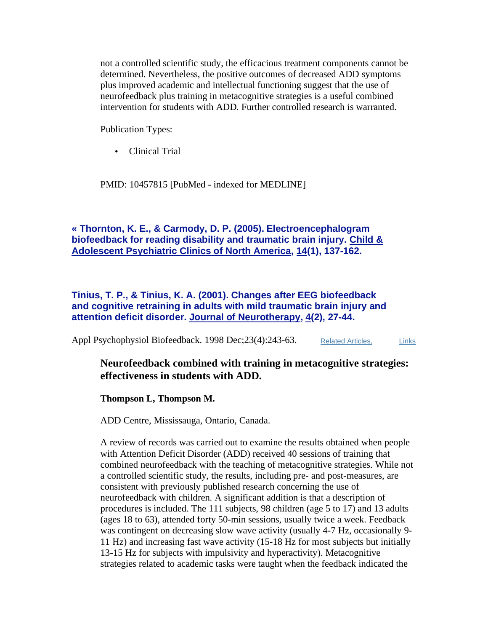not a controlled scientific study, the efficacious treatment components cannot be determined. Nevertheless, the positive outcomes of decreased ADD symptoms plus improved academic and intellectual functioning suggest that the use of neurofeedback plus training in metacognitive strategies is a useful combined intervention for students with ADD. Further controlled research is warranted.

Publication Types:

• Clinical Trial

PMID: 10457815 [PubMed - indexed for MEDLINE]

#### **« Thornton, K. E., & Carmody, D. P. (2005). Electroencephalogram biofeedback for reading disability and traumatic brain injury. Child & Adolescent Psychiatric Clinics of North America, 14(1), 137-162.**

**Tinius, T. P., & Tinius, K. A. (2001). Changes after EEG biofeedback and cognitive retraining in adults with mild traumatic brain injury and attention deficit disorder. Journal of Neurotherapy, 4(2), 27-44.**

Appl Psychophysiol Biofeedback. 1998 Dec; 23(4): 243-63. Related Articles, Links

#### **Neurofeedback combined with training in metacognitive strategies: effectiveness in students with ADD.**

#### **Thompson L, Thompson M.**

ADD Centre, Mississauga, Ontario, Canada.

A review of records was carried out to examine the results obtained when people with Attention Deficit Disorder (ADD) received 40 sessions of training that combined neurofeedback with the teaching of metacognitive strategies. While not a controlled scientific study, the results, including pre- and post-measures, are consistent with previously published research concerning the use of neurofeedback with children. A significant addition is that a description of procedures is included. The 111 subjects, 98 children (age 5 to 17) and 13 adults (ages 18 to 63), attended forty 50-min sessions, usually twice a week. Feedback was contingent on decreasing slow wave activity (usually 4-7 Hz, occasionally 9-11 Hz) and increasing fast wave activity (15-18 Hz for most subjects but initially 13-15 Hz for subjects with impulsivity and hyperactivity). Metacognitive strategies related to academic tasks were taught when the feedback indicated the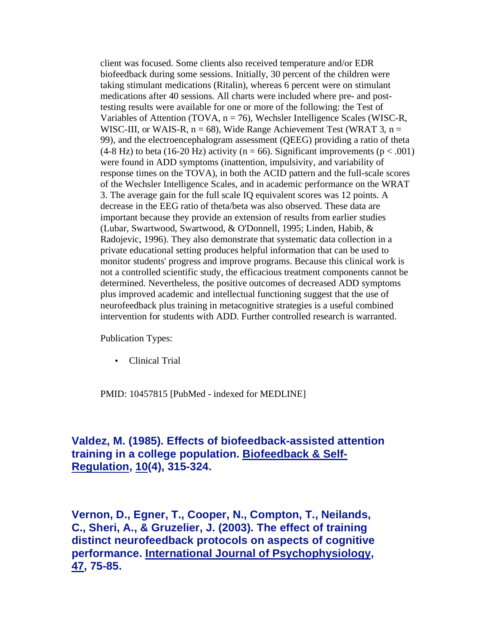client was focused. Some clients also received temperature and/or EDR biofeedback during some sessions. Initially, 30 percent of the children were taking stimulant medications (Ritalin), whereas 6 percent were on stimulant medications after 40 sessions. All charts were included where pre- and posttesting results were available for one or more of the following: the Test of Variables of Attention (TOVA, n = 76), Wechsler Intelligence Scales (WISC-R, WISC-III, or WAIS-R,  $n = 68$ ), Wide Range Achievement Test (WRAT 3,  $n =$ 99), and the electroencephalogram assessment (QEEG) providing a ratio of theta (4-8 Hz) to beta (16-20 Hz) activity ( $n = 66$ ). Significant improvements ( $p < .001$ ) were found in ADD symptoms (inattention, impulsivity, and variability of response times on the TOVA), in both the ACID pattern and the full-scale scores of the Wechsler Intelligence Scales, and in academic performance on the WRAT 3. The average gain for the full scale IQ equivalent scores was 12 points. A decrease in the EEG ratio of theta/beta was also observed. These data are important because they provide an extension of results from earlier studies (Lubar, Swartwood, Swartwood, & O'Donnell, 1995; Linden, Habib, & Radojevic, 1996). They also demonstrate that systematic data collection in a private educational setting produces helpful information that can be used to monitor students' progress and improve programs. Because this clinical work is not a controlled scientific study, the efficacious treatment components cannot be determined. Nevertheless, the positive outcomes of decreased ADD symptoms plus improved academic and intellectual functioning suggest that the use of neurofeedback plus training in metacognitive strategies is a useful combined intervention for students with ADD. Further controlled research is warranted.

Publication Types:

• Clinical Trial

PMID: 10457815 [PubMed - indexed for MEDLINE]

### **Valdez, M. (1985). Effects of biofeedback-assisted attention training in a college population. Biofeedback & Self-Regulation, 10(4), 315-324.**

**Vernon, D., Egner, T., Cooper, N., Compton, T., Neilands, C., Sheri, A., & Gruzelier, J. (2003). The effect of training distinct neurofeedback protocols on aspects of cognitive performance. International Journal of Psychophysiology, 47, 75-85.**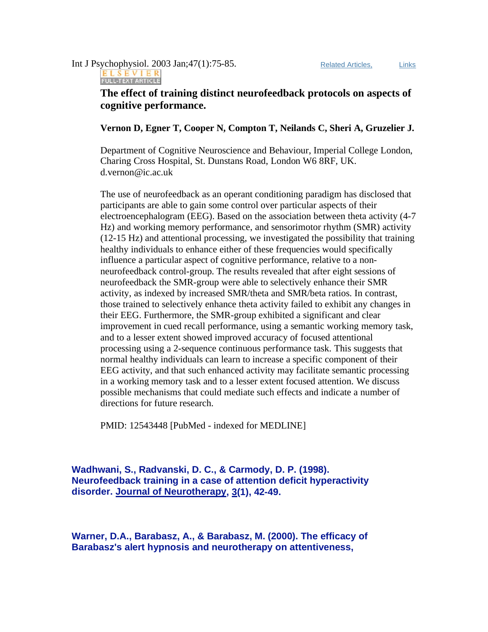### Int J Psychophysiol. 2003 Jan;47(1):75-85. Related Articles, Links ELSEVIER<br>FULL-TEXT ARTICLE

### **The effect of training distinct neurofeedback protocols on aspects of cognitive performance.**

**Vernon D, Egner T, Cooper N, Compton T, Neilands C, Sheri A, Gruzelier J.**

Department of Cognitive Neuroscience and Behaviour, Imperial College London, Charing Cross Hospital, St. Dunstans Road, London W6 8RF, UK. d.vernon@ic.ac.uk

The use of neurofeedback as an operant conditioning paradigm has disclosed that participants are able to gain some control over particular aspects of their electroencephalogram (EEG). Based on the association between theta activity (4-7 Hz) and working memory performance, and sensorimotor rhythm (SMR) activity (12-15 Hz) and attentional processing, we investigated the possibility that training healthy individuals to enhance either of these frequencies would specifically influence a particular aspect of cognitive performance, relative to a nonneurofeedback control-group. The results revealed that after eight sessions of neurofeedback the SMR-group were able to selectively enhance their SMR activity, as indexed by increased SMR/theta and SMR/beta ratios. In contrast, those trained to selectively enhance theta activity failed to exhibit any changes in their EEG. Furthermore, the SMR-group exhibited a significant and clear improvement in cued recall performance, using a semantic working memory task, and to a lesser extent showed improved accuracy of focused attentional processing using a 2-sequence continuous performance task. This suggests that normal healthy individuals can learn to increase a specific component of their EEG activity, and that such enhanced activity may facilitate semantic processing in a working memory task and to a lesser extent focused attention. We discuss possible mechanisms that could mediate such effects and indicate a number of directions for future research.

PMID: 12543448 [PubMed - indexed for MEDLINE]

**Wadhwani, S., Radvanski, D. C., & Carmody, D. P. (1998). Neurofeedback training in a case of attention deficit hyperactivity disorder. Journal of Neurotherapy, 3(1), 42-49.** 

**Warner, D.A., Barabasz, A., & Barabasz, M. (2000). The efficacy of Barabasz's alert hypnosis and neurotherapy on attentiveness,**